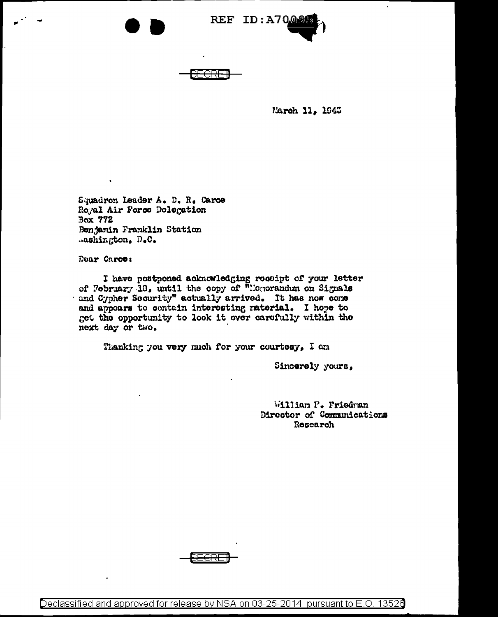

March 11, 1945

Squadron Leader A. D. R. Caroe Royal Air Force Delegation Box 772 Benjamin Franklin Station .ashington, D.C.

Dear Caros:

I have postponed acknowledging receipt of your letter of February 18, until the copy of "Honorandum on Signals and Cypher Security" actually arrived. It has now come and appears to contain interesting material. I hope to get the opportunity to look it over carefully within the next day or two.

Thanking you very much for your courtesy, I am

Sincerely yours,

William P. Friedran Director of Communications Research